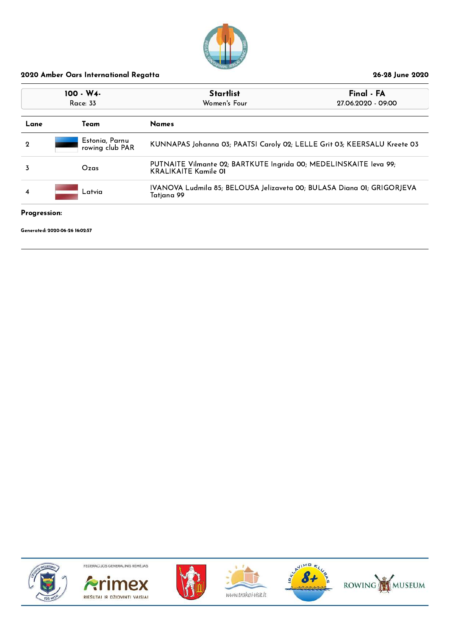

| $100 - W4$<br>Race: 33 |        |                                   | <b>Startlist</b><br>Women's Four                                                                 | Final - FA<br>27.06.2020 - 09:00 |
|------------------------|--------|-----------------------------------|--------------------------------------------------------------------------------------------------|----------------------------------|
| Lane                   | Team   |                                   | <b>Names</b>                                                                                     |                                  |
| $\mathbf 2$            |        | Estonia, Parnu<br>rowing club PAR | KUNNAPAS Johanna 03; PAATSI Caroly 02; LELLE Grit 03; KEERSALU Kreete 03                         |                                  |
|                        | Ozas   |                                   | PUTNAITE Vilmante 02; BARTKUTE Ingrida 00; MEDELINSKAITE Ieva 99;<br><b>KRALIKAITE Kamile 01</b> |                                  |
| 4                      | Latvia |                                   | IVANOVA Ludmila 85; BELOUSA Jelizaveta 00; BULASA Diana 01; GRIGORJEVA<br>Tatjana 99             |                                  |

#### Progression:

Generated: 2020-06-26 16:02:57











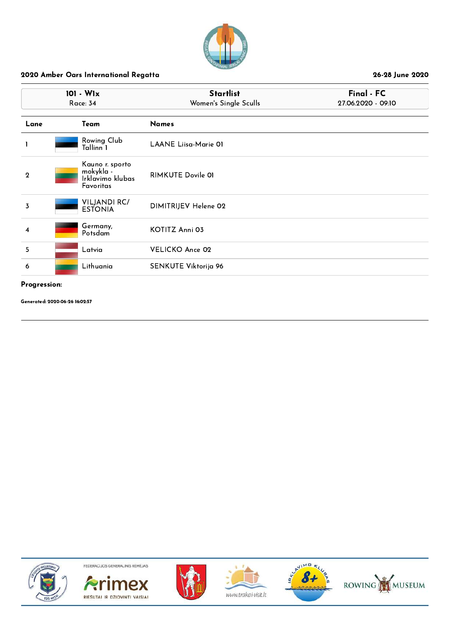

|              | 101 - W1x<br><b>Race: 34</b>                                  | <b>Startlist</b><br>Women's Single Sculls | Final - FC<br>27.06.2020 - 09:10 |  |
|--------------|---------------------------------------------------------------|-------------------------------------------|----------------------------------|--|
| Lane         | Team                                                          | <b>Names</b>                              |                                  |  |
| 1            | Rowing Club<br>Tallinn 1                                      | <b>LAANE Liisa Marie 01</b>               |                                  |  |
| $\mathbf{2}$ | Kauno r. sporto<br>mokykla -<br>Irklavimo klubas<br>Favoritas | <b>RIMKUTE Dovile 01</b>                  |                                  |  |
| 3            | <b>VILJANDI RC/</b><br><b>ESTONIA</b>                         | DIMITRIJEV Helene 02                      |                                  |  |
| 4            | Germany,<br>Potsdam                                           | KOTITZ Anni 03                            |                                  |  |
| 5            | Latvia                                                        | <b>VELICKO Ance 02</b>                    |                                  |  |
| 6            | Lithuania                                                     | SENKUTE Viktorija 96                      |                                  |  |

#### Progression:

Generated: 2020-06-26 16:02:57











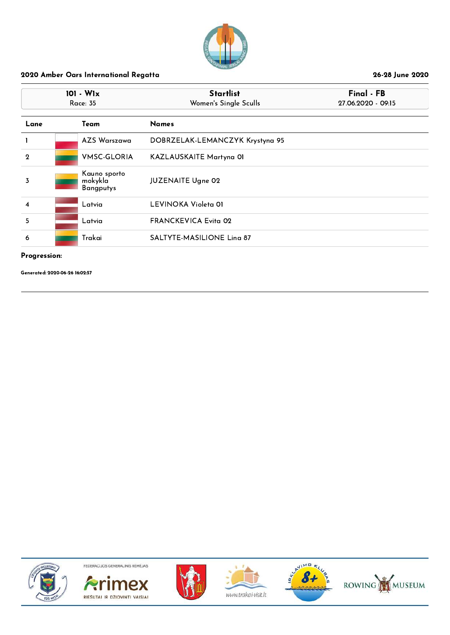

| $101 - W1x$<br>Race: 35 |  |                                             | <b>Startlist</b><br>Women's Single Sculls | Final - FB<br>27.06.2020 - 09:15 |
|-------------------------|--|---------------------------------------------|-------------------------------------------|----------------------------------|
| Lane                    |  | Team                                        | <b>Names</b>                              |                                  |
|                         |  | AZS Warszawa                                | DOBRZELAK-LEMANCZYK Krystyna 95           |                                  |
| $\mathbf{2}$            |  | <b>VMSC-GLORIA</b>                          | KAZLAUSKAITE Martyna OI                   |                                  |
| 3                       |  | Kauno sporto<br>mokykla<br><b>Bangputys</b> | <b>JUZENAITE Ugne 02</b>                  |                                  |
| $\overline{4}$          |  | Latvia                                      | LEVINOKA Violeta 01                       |                                  |
| 5                       |  | Latvia                                      | <b>FRANCKEVICA Evita 02</b>               |                                  |
| 6                       |  | Trakai                                      | SALTYTE-MASILIONE Ling 87                 |                                  |

Progression:

Generated: 2020-06-26 16:02:57











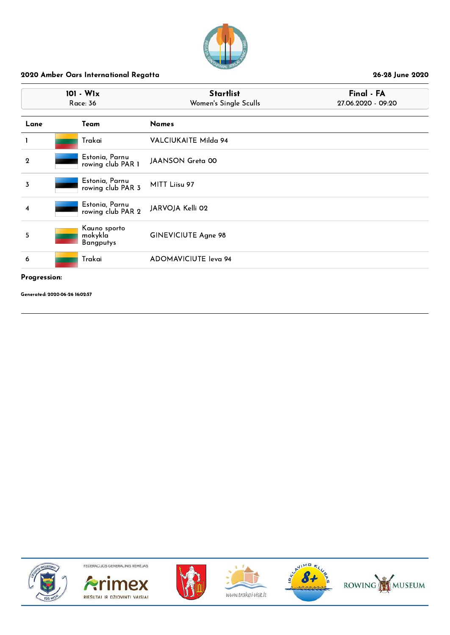

|              | $101 - W1x$<br><b>Race: 36</b>              | <b>Startlist</b><br>Women's Single Sculls | Final - FA<br>27.06.2020 - 09:20 |
|--------------|---------------------------------------------|-------------------------------------------|----------------------------------|
| Lane         | Team                                        | <b>Names</b>                              |                                  |
|              | Trakai                                      | VALCIUKAITE Milda 94                      |                                  |
| $\mathbf{2}$ | Estonia, Parnu<br>rowing club PAR 1         | JAANSON Greta 00                          |                                  |
| 3            | Estonia, Parnu<br>rowing club PAR 3         | MITT Liisu 97                             |                                  |
| 4            | Estonia, Parnu<br>rowing club PAR 2         | JARVOJA Kelli 02                          |                                  |
| 5            | Kauno sporto<br>mokykla<br><b>Bangputys</b> | GINEVICIUTE Agne 98                       |                                  |
| 6            | Trakai                                      | ADOMAVICIUTE leva 94                      |                                  |
|              |                                             |                                           |                                  |

#### Progression:

Generated: 2020-06-26 16:02:57











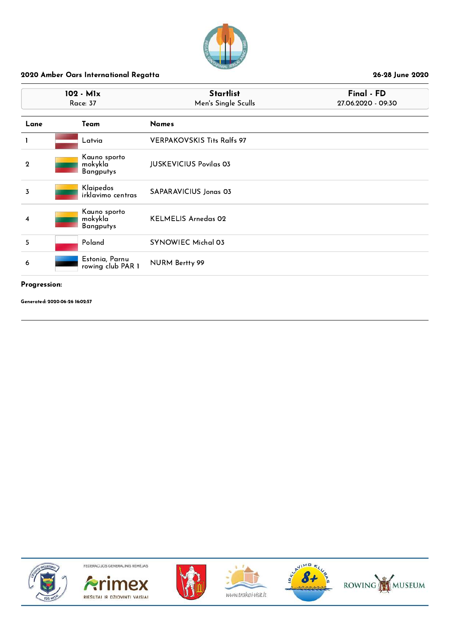

|                    | 102 - M1x<br>Race: 37                       | <b>Startlist</b><br>Men's Single Sculls | Final - FD<br>27.06.2020 - 09:30 |
|--------------------|---------------------------------------------|-----------------------------------------|----------------------------------|
| Lane               | Team                                        | <b>Names</b>                            |                                  |
| 1.                 | Latvia                                      | <b>VERPAKOVSKIS Tits Ralfs 97</b>       |                                  |
| $\mathbf{2}$       | Kauno sporto<br>mokykla<br>Bangputys        | <b>JUSKEVICIUS Povilas 03</b>           |                                  |
| 3                  | Klaipedos<br>irklavimo centras              | SAPARAVICIUS Jonas 03                   |                                  |
| $\overline{\bf 4}$ | Kauno sporto<br>mokykla<br><b>Bangputys</b> | <b>KELMELIS Arnedas 02</b>              |                                  |
| 5                  | Poland                                      | <b>SYNOWIEC Michal 03</b>               |                                  |
| 6                  | Estonia, Parnu<br>rowing club PAR 1         | NURM Bertty 99                          |                                  |

#### Progression:

Generated: 2020-06-26 16:02:57











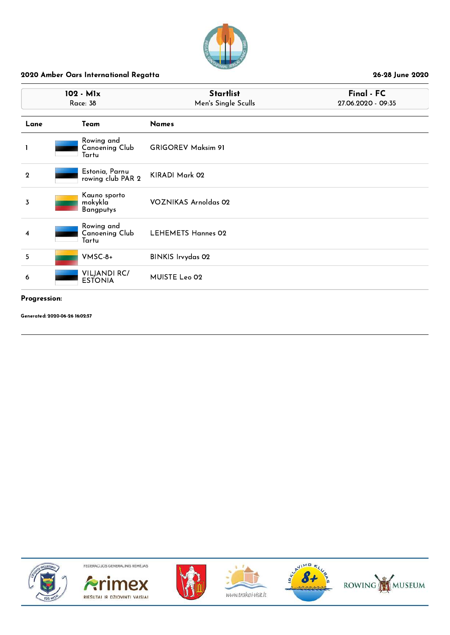

|             | 102 - M1x<br><b>Race: 38</b>                 | <b>Startlist</b><br>Men's Single Sculls | Final - FC<br>27.06.2020 - 09:35 |  |
|-------------|----------------------------------------------|-----------------------------------------|----------------------------------|--|
| Lane        | Team                                         | <b>Names</b>                            |                                  |  |
|             | Rowing and<br><b>Canoening Club</b><br>Tartu | <b>GRIGOREV Maksim 91</b>               |                                  |  |
| $\mathbf 2$ | Estonia, Parnu<br>rowing club PAR 2          | KIRADI Mark 02                          |                                  |  |
| 3           | Kauno sporto<br>mokykla<br><b>Bangputys</b>  | VOZNIKAS Arnoldas 02                    |                                  |  |
| 4           | Rowing and<br>Canoening Club<br>Tartu        | <b>LEHEMETS Hannes 02</b>               |                                  |  |
| 5           | VMSC-8+                                      | <b>BINKIS Irvydas 02</b>                |                                  |  |
| 6           | <b>VILJANDI RC/</b><br><b>ESTONIA</b>        | MUISTE Leo 02                           |                                  |  |

#### Progression:

Generated: 2020-06-26 16:02:57











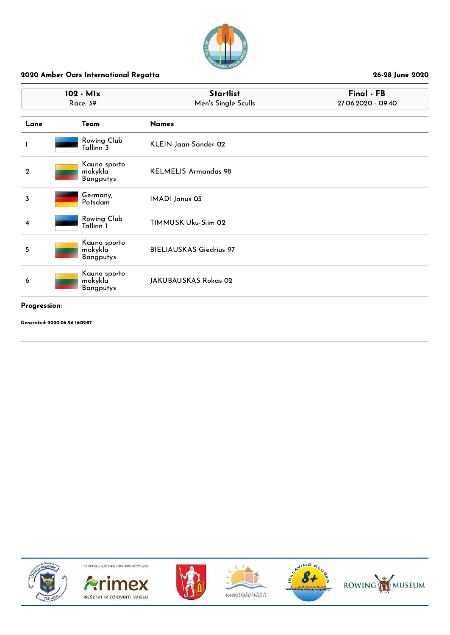

|                | 102 - M1x<br><b>Race: 39</b>                | <b>Startlist</b><br>Men's Single Sculls | Final - FB<br>27.06.2020 - 09:40 |  |
|----------------|---------------------------------------------|-----------------------------------------|----------------------------------|--|
| Lane           | Team                                        | <b>Names</b>                            |                                  |  |
| 1              | Rowing Club<br>Tallinn <sup>3</sup>         | KLEIN Jaan-Sander 02                    |                                  |  |
| $\overline{2}$ | Kauno sporto<br>mokykla<br><b>Bangputys</b> | <b>KELMELIS Armandas 98</b>             |                                  |  |
| 3              | Germany,<br>Potsdam                         | IMADI Janus 03                          |                                  |  |
| 4              | Rowing Club<br>Tallinn <sup>1</sup>         | TIMMUSK Uku-Siim 02                     |                                  |  |
| 5              | Kauno sporto<br>mokykla<br><b>Bangputys</b> | <b>BIELIAUSKAS Giedrius 97</b>          |                                  |  |
| 6              | Kauno sporto<br>mokykla<br><b>Bangputys</b> | JAKUBAUSKAS Rokas 02                    |                                  |  |
|                |                                             |                                         |                                  |  |

#### Progression:

Generated: 2020-06-26 16:02:57











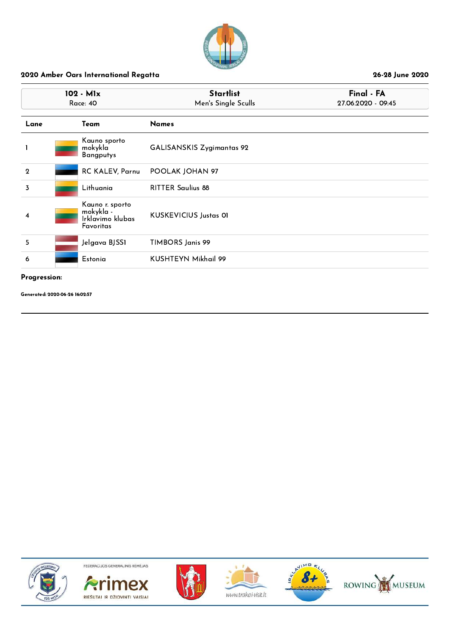

| 102 - M1x<br><b>Race: 40</b> |  |                                                               | <b>Startlist</b><br>Men's Single Sculls | Final - FA<br>27.06.2020 - 09:45 |  |
|------------------------------|--|---------------------------------------------------------------|-----------------------------------------|----------------------------------|--|
| Lane                         |  | Team                                                          | <b>Names</b>                            |                                  |  |
|                              |  | Kauno sporto<br>mokykla<br><b>Bangputys</b>                   | <b>GALISANSKIS Zygimantas 92</b>        |                                  |  |
| $\mathbf{2}$                 |  | RC KALEV, Parnu                                               | POOLAK JOHAN 97                         |                                  |  |
| 3                            |  | Lithuania                                                     | <b>RITTER Saulius 88</b>                |                                  |  |
| 4                            |  | Kauno r. sporto<br>mokykla -<br>Irklavimo klubas<br>Favoritas | <b>KUSKEVICIUS Justas OI</b>            |                                  |  |
| 5                            |  | Jelgava BJSS1                                                 | TIMBORS Janis 99                        |                                  |  |
| 6                            |  | Estonia                                                       | KUSHTEYN Mikhail 99                     |                                  |  |

#### Progression:

Generated: 2020-06-26 16:02:57













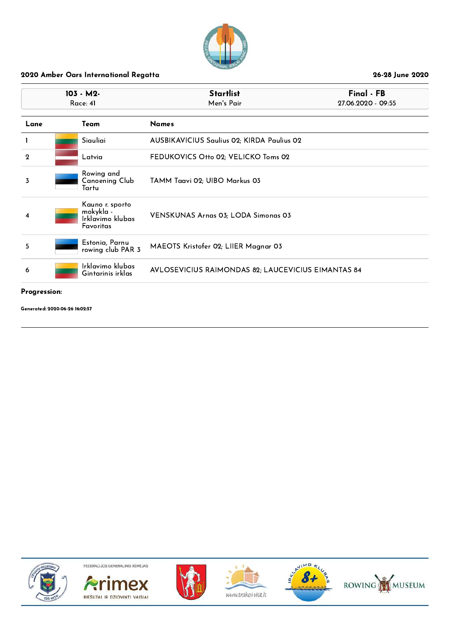

|              | 103 - M2-<br>Race: 41                                         | <b>Startlist</b><br>Men's Pair                     | Final - FB<br>27.06.2020 - 09:55 |  |
|--------------|---------------------------------------------------------------|----------------------------------------------------|----------------------------------|--|
| Lane         | Team                                                          | <b>Names</b>                                       |                                  |  |
|              | Siauliai                                                      | <b>AUSBIKAVICIUS Saulius 02; KIRDA Paulius 02</b>  |                                  |  |
| $\mathbf{2}$ | Latvia                                                        | FEDUKOVICS Otto 02; VELICKO Toms 02                |                                  |  |
| 3            | Rowing and<br>Canoening Club<br>Tartu                         | TAMM Taavi 02; UIBO Markus 03                      |                                  |  |
| 4            | Kauno r. sporto<br>mokykla -<br>Irklavimo klubas<br>Favoritas | <b>VENSKUNAS Arnas 03; LODA Simonas 03</b>         |                                  |  |
| 5            | Estonia, Parnu<br>rowing club PAR 3                           | MAEOTS Kristofer 02; LIIER Magnar 03               |                                  |  |
| 6            | Irklavimo klubas<br>Gintarinis irklas                         | AVLOSEVICIUS RAIMONDAS 82; LAUCEVICIUS EIMANTAS 84 |                                  |  |
|              |                                                               |                                                    |                                  |  |

Progression:

Generated: 2020-06-26 16:02:57











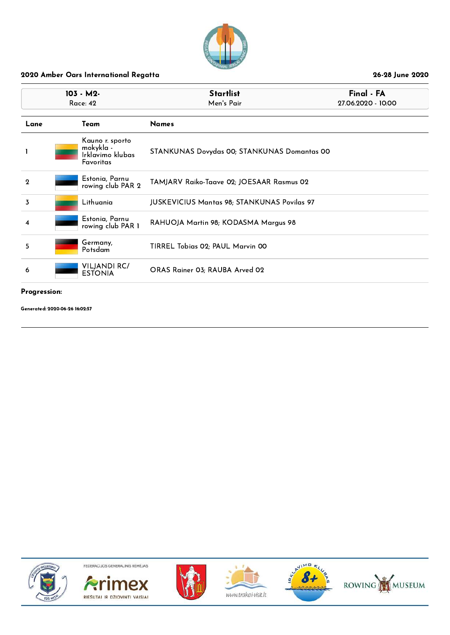

| 103 - M2-<br>Race: 42 |  |                                                               | <b>Startlist</b><br>Men's Pair                     | Final - FA<br>27.06.2020 - 10:00 |
|-----------------------|--|---------------------------------------------------------------|----------------------------------------------------|----------------------------------|
| Lane                  |  | Team                                                          | <b>Names</b>                                       |                                  |
|                       |  | Kauno r. sporto<br>mokykla -<br>Irklavimo klubas<br>Favoritas | STANKUNAS Dovydas 00; STANKUNAS Domantas 00        |                                  |
| $\mathbf{2}$          |  | Estonia, Parnu<br>rowing club PAR 2                           | TAMJARV Raiko-Taave 02; JOESAAR Rasmus 02          |                                  |
| 3                     |  | Lithuania                                                     | <b>JUSKEVICIUS Mantas 98; STANKUNAS Povilas 97</b> |                                  |
| 4                     |  | Estonia, Parnu<br>rowing club PAR 1                           | RAHUOJA Martin 98; KODASMA Margus 98               |                                  |
| 5                     |  | Germany,<br>Potsdam                                           | TIRREL Tobias 02; PAUL Marvin 00                   |                                  |
| 6                     |  | <b>VILJANDI RC/</b><br><b>ESTONIA</b>                         | ORAS Rainer 03; RAUBA Arved 02                     |                                  |
|                       |  |                                                               |                                                    |                                  |

#### Progression:

Generated: 2020-06-26 16:02:57











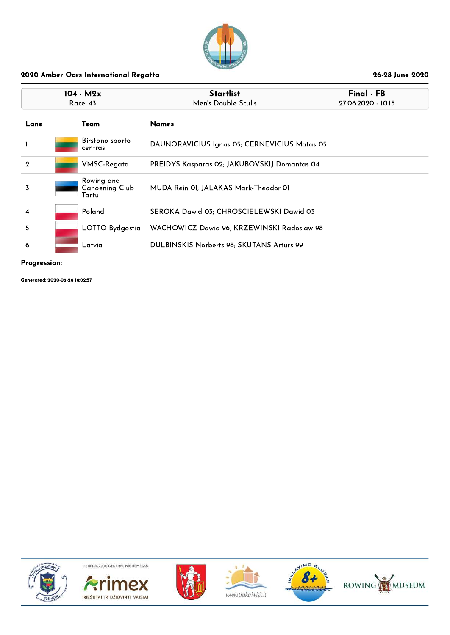

|              | $104 - M2x$<br>Race: 43                      | <b>Startlist</b><br>Men's Double Sculls             | Final - FB<br>27.06.2020 - 10:15 |
|--------------|----------------------------------------------|-----------------------------------------------------|----------------------------------|
| Lane         | Team                                         | <b>Names</b>                                        |                                  |
|              | Birstono sporto<br>centras                   | DAUNORAVICIUS Ignas 05; CERNEVICIUS Matas 05        |                                  |
| $\mathbf{2}$ | VMSC-Regata                                  | <b>PREIDYS Kasparas 02; JAKUBOVSKIJ Domantas 04</b> |                                  |
| 3            | Rowing and<br><b>Canoening Club</b><br>Tartu | MUDA Rein OI; JALAKAS Mark-Theodor OI               |                                  |
| 4            | Poland                                       | SEROKA Dawid 03; CHROSCIELEWSKI Dawid 03            |                                  |
| 5            | LOTTO Bydgostia                              | WACHOWICZ Dawid 96; KRZEWINSKI Radoslaw 98          |                                  |
| 6            | Latvia                                       | DULBINSKIS Norberts 98; SKUTANS Arturs 99           |                                  |

#### Progression:

Generated: 2020-06-26 16:02:57











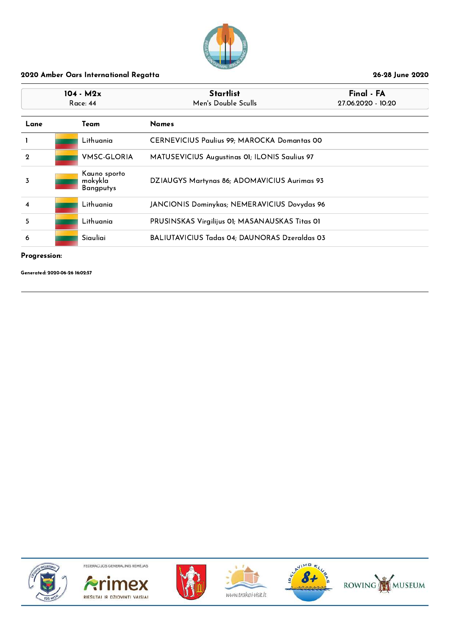

|                | $104 - M2x$<br>Race: 44 |                                             | <b>Startlist</b><br>Men's Double Sculls            | Final - FA<br>27.06.2020 - 10:20 |
|----------------|-------------------------|---------------------------------------------|----------------------------------------------------|----------------------------------|
| Lane           |                         | Team                                        | <b>Names</b>                                       |                                  |
|                |                         | Lithuania                                   | <b>CERNEVICIUS Paulius 99; MAROCKA Domantas 00</b> |                                  |
| $\mathbf{Q}$   |                         | <b>VMSC-GLORIA</b>                          | MATUSEVICIUS Augustinas 01; ILONIS Saulius 97      |                                  |
| 3              |                         | Kauno sporto<br>mokykla<br><b>Bangputys</b> | DZIAUGYS Martynas 86; ADOMAVICIUS Aurimas 93       |                                  |
| $\overline{4}$ |                         | Lithuania                                   | JANCIONIS Dominykas; NEMERAVICIUS Dovydas 96       |                                  |
| 5              |                         | Lithuania                                   | PRUSINSKAS Virgilijus 01; MASANAUSKAS Titas 01     |                                  |
| 6              |                         | Siauliai                                    | BALIUTAVICIUS Tadas 04; DAUNORAS Dzeraldas 03      |                                  |

#### Progression:

Generated: 2020-06-26 16:02:57











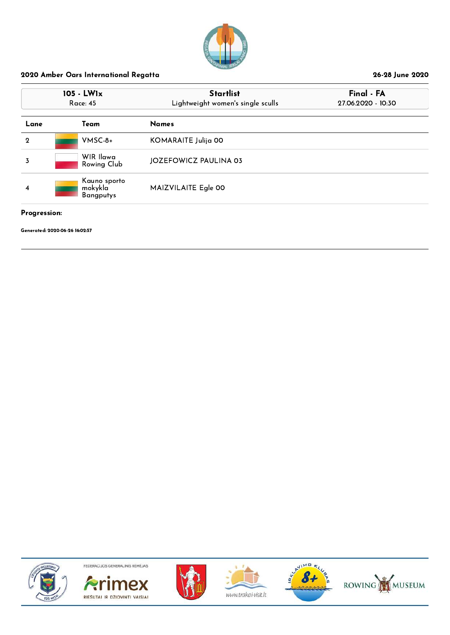

| 105 - LW1x<br>Race: 45 |                                             | <b>Startlist</b><br>Lightweight women's single sculls | Final - FA<br>27.06.2020 - 10:30 |  |
|------------------------|---------------------------------------------|-------------------------------------------------------|----------------------------------|--|
| Lane                   | Team                                        | <b>Names</b>                                          |                                  |  |
| $\mathbf 2$            | $V$ MSC-8+                                  | KOMARAITE Julija 00                                   |                                  |  |
| 3                      | WIR Ilawa<br>Rowing Club                    | <b>JOZEFOWICZ PAULINA 03</b>                          |                                  |  |
| 4                      | Kauno sporto<br>mokykla<br><b>Bangputys</b> | MAIZVILAITE Egle 00                                   |                                  |  |

#### Progression:

Generated: 2020-06-26 16:02:57













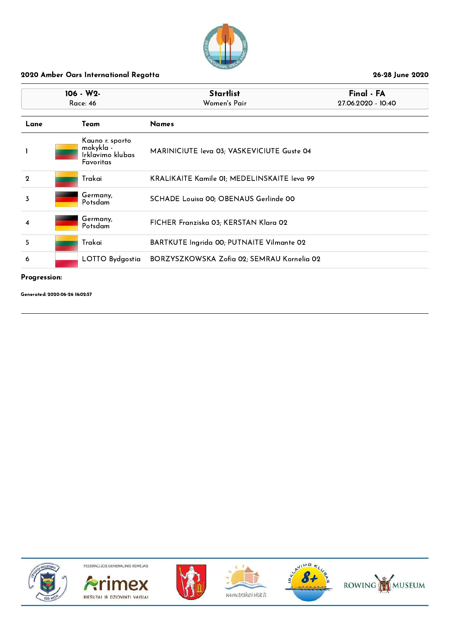

| 106 - W2-<br><b>Race: 46</b> |  |                                                               | <b>Startlist</b><br>Women's Pair            | Final - FA<br>27.06.2020 - 10:40 |
|------------------------------|--|---------------------------------------------------------------|---------------------------------------------|----------------------------------|
| Lane                         |  | Team                                                          | <b>Names</b>                                |                                  |
|                              |  | Kauno r. sporto<br>mokykla -<br>Irklavimo klubas<br>Favoritas | MARINICIUTE Ieva 03; VASKEVICIUTE Guste 04  |                                  |
| $\mathbf{2}$                 |  | Trakai                                                        | KRALIKAITE Kamile 01; MEDELINSKAITE leva 99 |                                  |
| 3                            |  | Germany,<br>Potsdam                                           | SCHADE Louisa 00; OBENAUS Gerlinde 00       |                                  |
| 4                            |  | Germany,<br>Potsdam                                           | FICHER Franziska 03; KERSTAN Klara 02       |                                  |
| 5                            |  | Trakai                                                        | BARTKUTE Ingrida 00; PUTNAITE Vilmante 02   |                                  |
| 6                            |  | LOTTO Bydgostia                                               | BORZYSZKOWSKA Zofia 02; SEMRAU Kornelia 02  |                                  |

#### Progression:

Generated: 2020-06-26 16:02:57











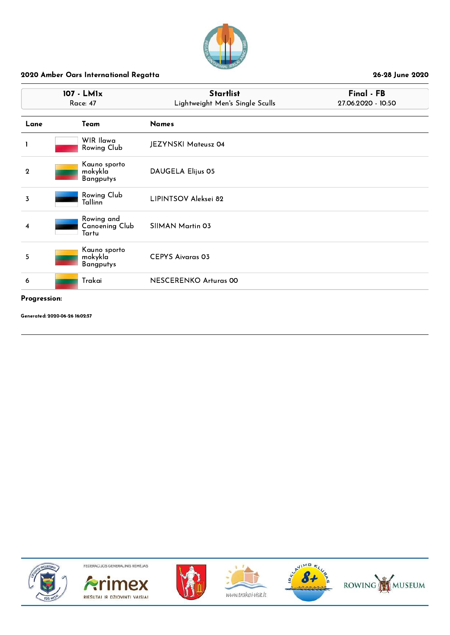

| 107 - LM1x<br><b>Race: 47</b> |                                             | <b>Startlist</b><br>Lightweight Men's Single Sculls | Final - FB<br>27.06.2020 - 10:50 |  |
|-------------------------------|---------------------------------------------|-----------------------------------------------------|----------------------------------|--|
| Lane                          | Team                                        | <b>Names</b>                                        |                                  |  |
|                               | WIR Ilawa<br>Rowing Club                    | JEZYNSKI Mateusz 04                                 |                                  |  |
| $\mathbf{2}$                  | Kauno sporto<br>mokykla<br><b>Bangputys</b> | DAUGELA Elijus 05                                   |                                  |  |
| 3                             | Rowing Club<br><b>Tallinn</b>               | LIPINTSOV Aleksei 82                                |                                  |  |
| 4                             | Rowing and<br>Canoening Club<br>Tartu       | SIIMAN Martin 03                                    |                                  |  |
| 5                             | Kauno sporto<br>mokykla<br><b>Bangputys</b> | <b>CEPYS Aivaras 03</b>                             |                                  |  |
| 6                             | Trakai                                      | <b>NESCERENKO Arturas 00</b>                        |                                  |  |
| Progression:                  |                                             |                                                     |                                  |  |

Generated: 2020-06-26 16:02:57











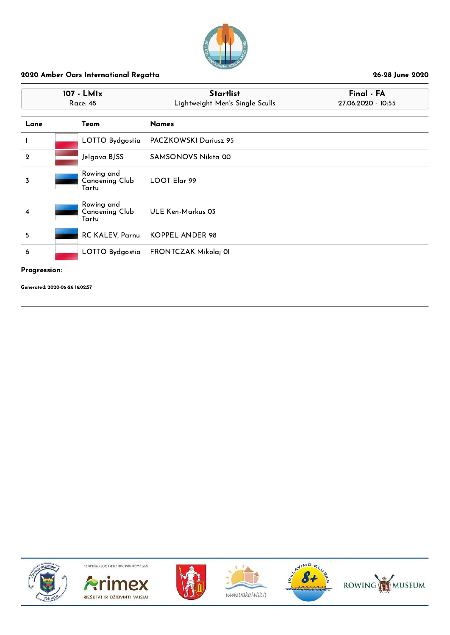

|              | 107 - LM1x<br>Race: 48                       | <b>Startlist</b><br>Lightweight Men's Single Sculls | Final - FA<br>27.06.2020 - 10:55 |
|--------------|----------------------------------------------|-----------------------------------------------------|----------------------------------|
| Lane         | Team                                         | <b>Names</b>                                        |                                  |
| 1            | LOTTO Bydgostia                              | PACZKOWSKI Dariusz 95                               |                                  |
| $\mathbf{2}$ | Jelgava BJSS                                 | <b>SAMSONOVS Nikita 00</b>                          |                                  |
| 3            | Rowing and<br><b>Canoening Club</b><br>Tartu | LOOT Elar 99                                        |                                  |
| 4            | Rowing and<br><b>Canoening Club</b><br>Tartu | ULE Ken-Markus 03                                   |                                  |
| 5            | RC KALEV, Parnu                              | KOPPEL ANDER 98                                     |                                  |
| 6            |                                              | LOTTO Bydgostia FRONTCZAK Mikolaj 01                |                                  |

#### Progression:

Generated: 2020-06-26 16:02:57











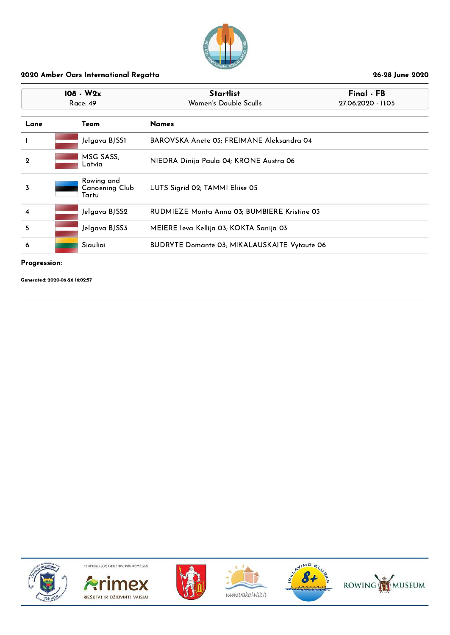

| $108 - W2x$<br>Race: 49 |                                              | <b>Startlist</b><br>Women's Double Sculls           | Final - FB<br>27.06.2020 - 11:05 |
|-------------------------|----------------------------------------------|-----------------------------------------------------|----------------------------------|
| Lane                    | Team                                         | <b>Names</b>                                        |                                  |
|                         | Jelgava BJSS1                                | BAROVSKA Anete 03; FREIMANE Aleksandra 04           |                                  |
| $\overline{2}$          | MSG SASS,<br>-atvia                          | NIEDRA Dinija Paula 04; KRONE Austra 06             |                                  |
| 3                       | Rowing and<br><b>Canoening Club</b><br>Tartu | LUTS Sigrid 02; TAMMI Eliise 05                     |                                  |
| $\overline{\mathbf{4}}$ | Jelgava BJSS2                                | RUDMIEZE Monta Anna 03; BUMBIERE Kristine 03        |                                  |
| 5                       | Jelgava BJSS3                                | MEIERE Ieva Kellija 03; KOKTA Sanija 03             |                                  |
| 6                       | Siauliai                                     | <b>BUDRYTE Domante 03; MIKALAUSKAITE Vytaute 06</b> |                                  |

#### Progression:

Generated: 2020-06-26 16:02:57











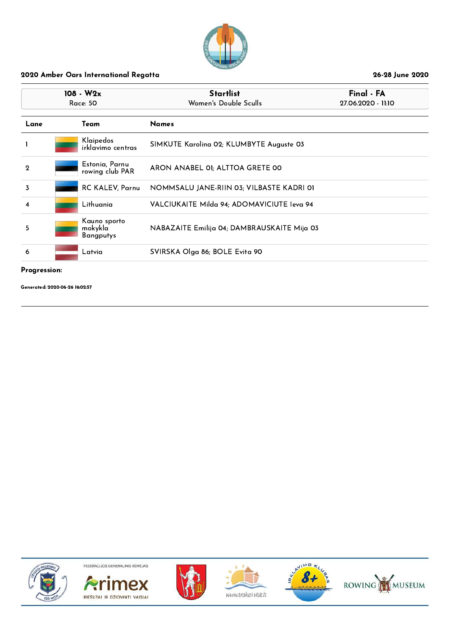

| $108 - W2x$<br>Race: 50 |                                      | <b>Startlist</b><br>Women's Double Sculls   | Final - FA<br>27.06.2020 - 11:10 |
|-------------------------|--------------------------------------|---------------------------------------------|----------------------------------|
| Lane                    | Team                                 | <b>Names</b>                                |                                  |
|                         | Klaipedos<br>irklavimo centras       | SIMKUTE Karolina 02; KLUMBYTE Auguste 03    |                                  |
| $\mathbf{2}$            | Estonia, Parnu<br>rowing club PAR    | ARON ANABEL 01; ALTTOA GRETE 00             |                                  |
| 3                       | RC KALEV, Parnu                      | NOMMSALU JANE RIIN 03; VILBASTE KADRI 01    |                                  |
| 4                       | Lithuania                            | VALCIUKAITE Milda 94; ADOMAVICIUTE leva 94  |                                  |
| 5                       | Kauno sporto<br>mokykla<br>Bangputys | NABAZAITE Emilija 04; DAMBRAUSKAITE Mija 03 |                                  |
| 6                       | Latvia                               | SVIRSKA Olga 86; BOLE Evita 90              |                                  |

Progression:

Generated: 2020-06-26 16:02:57











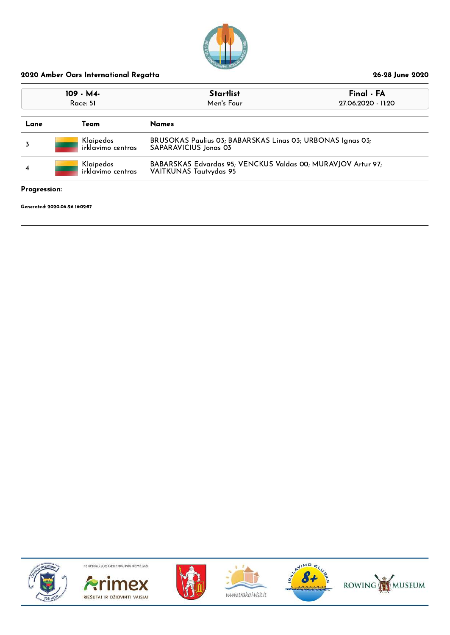

| 109 - M4-<br>Race: 51 |                                | <b>Startlist</b><br>Men's Four                                                         | Final - FA<br>27.06.2020 - 11:20 |  |
|-----------------------|--------------------------------|----------------------------------------------------------------------------------------|----------------------------------|--|
| Lane                  | Team                           | <b>Names</b>                                                                           |                                  |  |
|                       | Klaipedos<br>irklavimo centras | BRUSOKAS Paulius 03; BABARSKAS Linas 03; URBONAS Ignas 03;<br>SAPARAVICIUS Jonas 03    |                                  |  |
| 4                     | Klaipedos<br>irklavimo centras | BABARSKAS Edvardas 95; VENCKUS Valdas 00; MURAVJOV Artur 97;<br>VAITKUNAS Tautvydas 95 |                                  |  |

#### Progression:

Generated: 2020-06-26 16:02:57













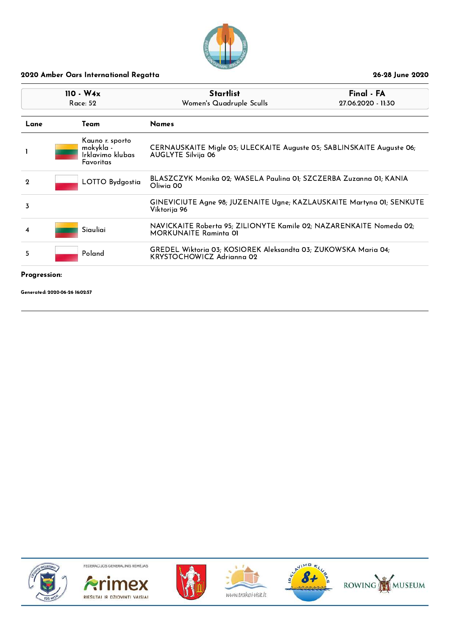

| $110 - W4x$<br>Race: 52 |                                                                      | <b>Startlist</b><br>Women's Quadruple Sculls                                                        | Final - FA<br>27.06.2020 - 11:30                               |  |
|-------------------------|----------------------------------------------------------------------|-----------------------------------------------------------------------------------------------------|----------------------------------------------------------------|--|
| Lane                    | Team                                                                 | <b>Names</b>                                                                                        |                                                                |  |
|                         | Kauno r. sporto<br>mokykla -<br>Irklavimo klubas<br><b>Favoritas</b> | CERNAUSKAITE Migle 05; ULECKAITE Auguste 05; SABLINSKAITE Auguste 06;<br>AUGLYTE Silvija 06         |                                                                |  |
| $\mathbf{Q}$            | LOTTO Bydgostia                                                      | BLASZCZYK Monika 02; WASELA Paulina 01; SZCZERBA Zuzanna 01; KANIA<br>Oliwia 00                     |                                                                |  |
| 3                       |                                                                      | GINEVICIUTE Agne 98; JUZENAITE Ugne; KAZLAUSKAITE Martyna 01; SENKUTE<br>Viktorija 96               |                                                                |  |
| 4                       | Siauliai                                                             | NAVICKAITE Roberta 95; ZILIONYTE Kamile 02; NAZARENKAITE Nomeda 02;<br><b>MORKUNAITE Raminta 01</b> |                                                                |  |
| 5                       | Poland                                                               | KRYSTOCHOWICZ Adrianna 02                                                                           | GREDEL Wiktoria 03; KOSIOREK Aleksandta 03; ZUKOWSKA Maria 04; |  |
|                         |                                                                      |                                                                                                     |                                                                |  |

#### Progression:

Generated: 2020-06-26 16:02:57











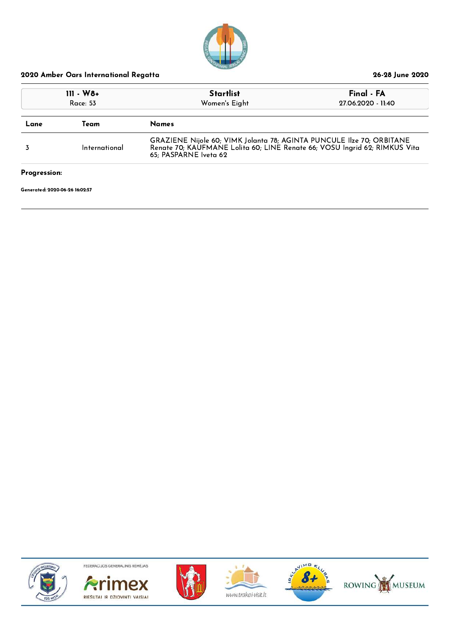

| $111 - W8 +$<br>Race: 53 |               | <b>Startlist</b><br>Women's Eight                                                                                                                                            | Final - FA<br>27.06.2020 - 11:40 |
|--------------------------|---------------|------------------------------------------------------------------------------------------------------------------------------------------------------------------------------|----------------------------------|
| Lane                     | Team          | <b>Names</b>                                                                                                                                                                 |                                  |
|                          | International | GRAZIENE Nijole 60; VIMK Jolanta 78; AGINTA PUNCULE Ilze 70; ORBITANE<br>Renate 70; KAUFMANE Lolita 60; LINE Renate 66; VOSU Ingrid 62; RIMKUS Vita<br>65; PASPARNE Iveta 62 |                                  |

Progression:

Generated: 2020-06-26 16:02:57













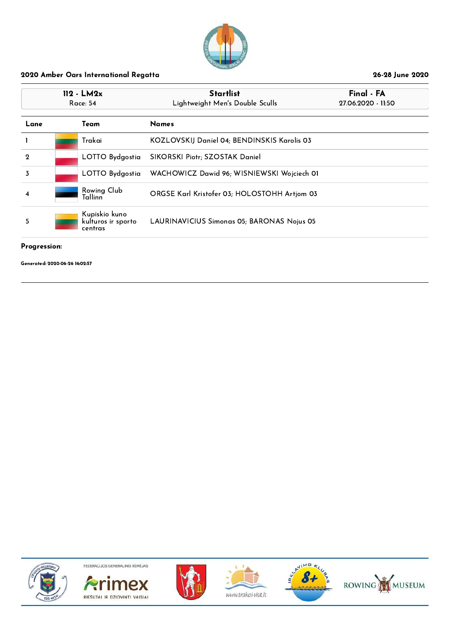

| $112 - LM2x$<br>Race: 54 |  |                                                | <b>Startlist</b><br>Lightweight Men's Double Sculls | Final - FA<br>27.06.2020 - 11:50 |
|--------------------------|--|------------------------------------------------|-----------------------------------------------------|----------------------------------|
| Lane                     |  | Team                                           | <b>Names</b>                                        |                                  |
|                          |  | Trakai                                         | KOZLOVSKIJ Daniel 04; BENDINSKIS Karolis 03         |                                  |
| $\mathbf{Q}$             |  | LOTTO Bydgostia                                | SIKORSKI Piotr; SZOSTAK Daniel                      |                                  |
| 3                        |  | LOTTO Bydgostia                                | WACHOWICZ Dawid 96; WISNIEWSKI Wojciech 01          |                                  |
| 4                        |  | Rowing Club<br>Tallinn                         | ORGSE Karl Kristofer 03; HOLOSTOHH Artjom 03        |                                  |
| 5                        |  | Kupiskio kuno<br>kulturos ir sporto<br>centras | LAURINAVICIUS Simonas 05; BARONAS Nojus 05          |                                  |

#### Progression:

Generated: 2020-06-26 16:02:57











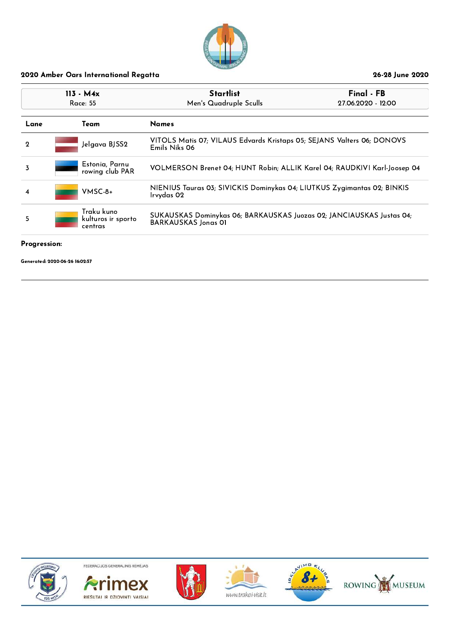

| $113 - M4x$<br>Race: 55 |                                             | Startlist<br>Men's Quadruple Sculls                                                                | Final - FB<br>27.06.2020 - 12:00 |
|-------------------------|---------------------------------------------|----------------------------------------------------------------------------------------------------|----------------------------------|
| Lane                    | Team                                        | <b>Names</b>                                                                                       |                                  |
| $\mathbf{Q}$            | Jelgava BJSS2                               | VITOLS Matis 07; VILAUS Edvards Kristaps 05; SEJANS Valters 06; DONOVS<br>Emils Niks 06            |                                  |
| 3                       | Estonia, Parnu<br>rowing club PAR           | VOLMERSON Brenet 04; HUNT Robin; ALLIK Karel 04; RAUDKIVI Karl-Joosep 04                           |                                  |
| 4                       | $V$ MSC-8+                                  | NIENIUS Tauras 03; SIVICKIS Dominykas 04; LIUTKUS Zygimantas 02; BINKIS<br>Irvydas 02              |                                  |
| 5                       | Traku kuno<br>kulturos ir sporto<br>centras | SUKAUSKAS Dominykas 06; BARKAUSKAS Juozas 02; JANCIAUSKAS Justas 04;<br><b>BARKAUSKAS Jonas OI</b> |                                  |

#### Progression:

Generated: 2020-06-26 16:02:57











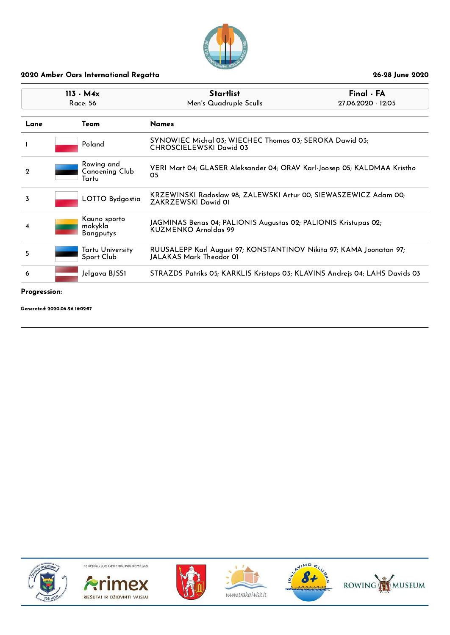

| $113 - M4x$<br>Race: 56 |                                       | <b>Startlist</b><br>Men's Quadruple Sculls                                                     | Final - FA<br>27.06.2020 - 12:05 |  |
|-------------------------|---------------------------------------|------------------------------------------------------------------------------------------------|----------------------------------|--|
| Lane                    | Team                                  | <b>Names</b>                                                                                   |                                  |  |
|                         | Poland                                | SYNOWIEC Michal 03; WIECHEC Thomas 03; SEROKA Dawid 03;<br>CHROSCIELEWSKI Dawid 03             |                                  |  |
| $\mathbf 2$             | Rowing and<br>Canoening Club<br>Tartu | VERI Mart 04; GLASER Aleksander 04; ORAV Karl-Joosep 05; KALDMAA Kristho<br>05                 |                                  |  |
| 3                       | LOTTO Bydgostia                       | KRZEWINSKI Radoslaw 98; ZALEWSKI Artur 00; SIEWASZEWICZ Adam 00;<br>ZAKRZEWSKI Dawid 01        |                                  |  |
| 4                       | Kauno sporto<br>mokykla<br>Bangputys  | JAGMINAS Benas 04; PALIONIS Augustas 02; PALIONIS Kristupas 02;<br>KUZMENKO Arnoldas 99        |                                  |  |
| 5                       | Tartu University<br>Sport Club        | RUUSALEPP Karl August 97; KONSTANTINOV Nikita 97; KAMA Joonatan 97;<br>JALAKAS Mark Theodor 01 |                                  |  |
| 6                       | Jelgava BJSS1                         | STRAZDS Patriks 05; KARKLIS Kristaps 03; KLAVINS Andrejs 04; LAHS Davids 03                    |                                  |  |

#### Progression:

Generated: 2020-06-26 16:02:57